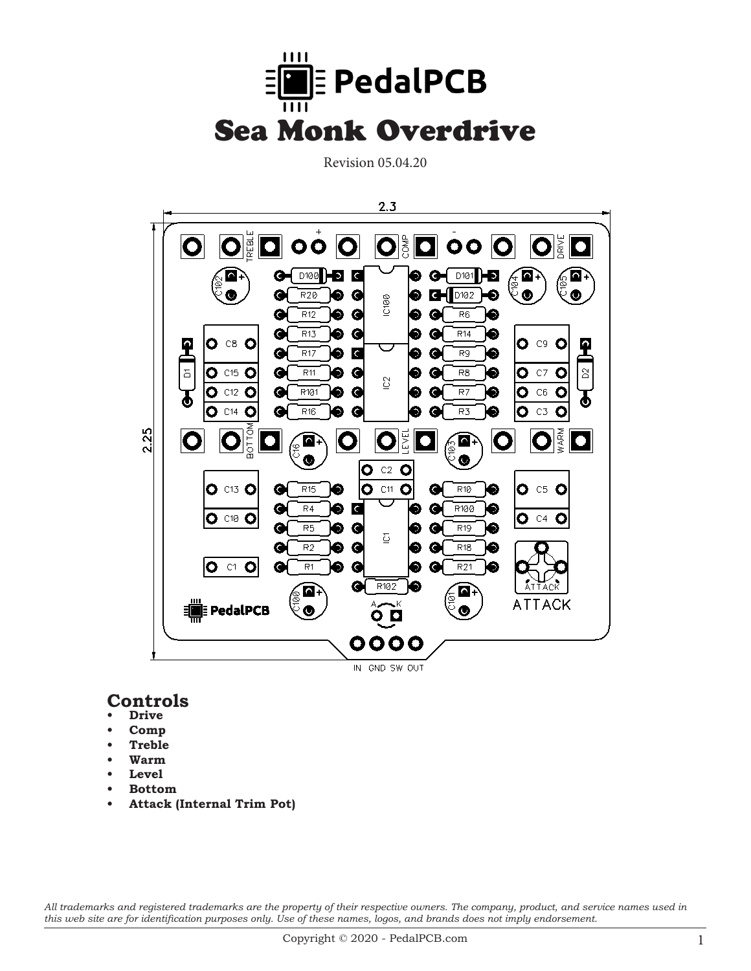

Revision 05.04.20



### **Controls**

- **Drive**
- **• Comp**
- **• Treble**
- **• Warm**
- Level
- **• Bottom**
- **• Attack (Internal Trim Pot)**

*All trademarks and registered trademarks are the property of their respective owners. The company, product, and service names used in this web site are for identification purposes only. Use of these names, logos, and brands does not imply endorsement.*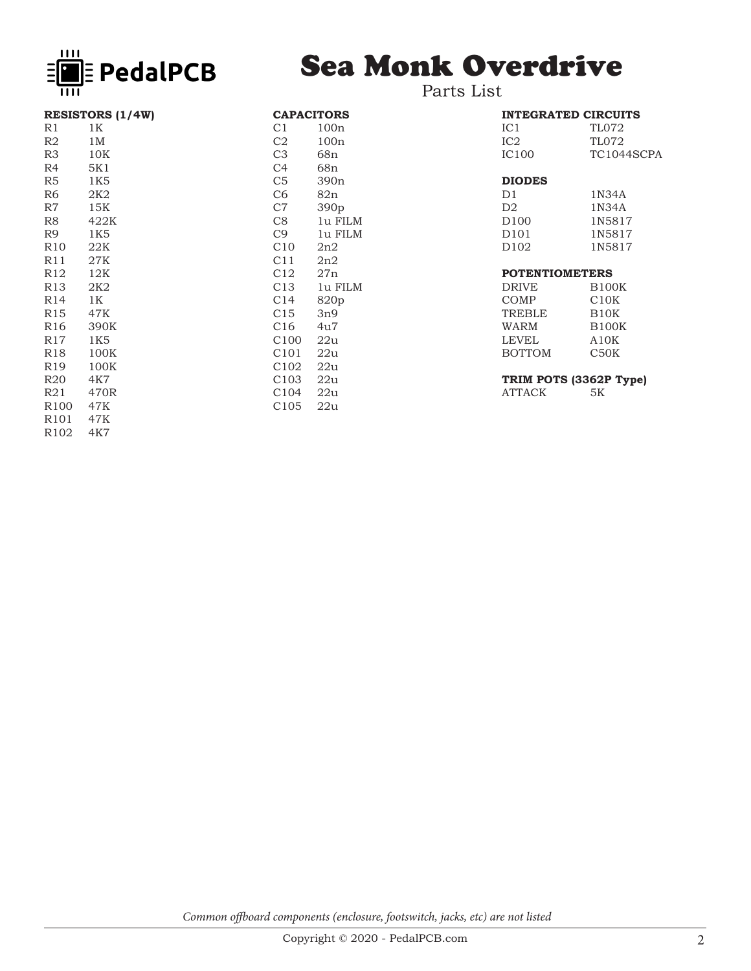

# Sea Monk Overdrive

| <b>RESISTORS (1/4W)</b> |                |  |  |
|-------------------------|----------------|--|--|
| R1                      | 1 K            |  |  |
| R2                      | 1 M            |  |  |
| R3                      | 10K            |  |  |
| R4                      | 5K1            |  |  |
| R5                      | 1K5            |  |  |
| R6                      | 2K2            |  |  |
| R7                      | 15K            |  |  |
| R8                      | 422K           |  |  |
| R9                      | 1K5            |  |  |
| R <sub>10</sub>         | 22K            |  |  |
| R11                     | 27K            |  |  |
| R12                     | 12K            |  |  |
| R13                     | 2K2            |  |  |
| R14                     | 1 <sub>K</sub> |  |  |
| R15                     | 47K            |  |  |
| R16                     | 390K           |  |  |
| R17                     | 1K5            |  |  |
| R18                     | 100K           |  |  |
| R19                     | 100K           |  |  |
| R20                     | 4K7            |  |  |
| R21                     | 470R           |  |  |
| R <sub>100</sub>        | 47K            |  |  |
| R <sub>101</sub>        | 47K            |  |  |
| R <sub>102</sub>        | 4K7            |  |  |

| <b>CAPACITORS</b> |                  |
|-------------------|------------------|
| C <sub>1</sub>    | 100n             |
| C <sub>2</sub>    | 100n             |
| C3                | 68n              |
| C4                | 68n              |
| C <sub>5</sub>    | 390 <sub>n</sub> |
| C <sub>6</sub>    | 82n              |
| C <sub>7</sub>    | 390 <sub>p</sub> |
| C8                | 1u FILM          |
| C <sub>9</sub>    | 1u FILM          |
| C10               | 2n2              |
| C11               | 2n2              |
| C12               | 27n              |
| C <sub>13</sub>   | 1u FILM          |
| C14               | 820p             |
| C <sub>15</sub>   | 3n9              |
| C16               | 4u7              |
| C100              | 22u              |
| C101 22u          |                  |
| C102              | 22u              |
| C103 22u          |                  |
| C <sub>104</sub>  | 22u              |
| C <sub>105</sub>  | 22u              |

#### Parts List

| <b>INTEGRATED CIRCUITS</b> |            |  |  |
|----------------------------|------------|--|--|
| IC 1                       | TL072      |  |  |
| IC2                        | TL072      |  |  |
| IC100                      | TC1044SCPA |  |  |
|                            |            |  |  |

## **DIODES**

1N34A D2 1N34A D100 1N5817<br>D101 1N5817 D101 1N5817<br>D102 1N5817 1N5817

#### **POTENTIOMETERS**

| DRIVE  | <b>B100K</b>      |
|--------|-------------------|
|        |                   |
| COMP   | C <sub>10K</sub>  |
| TREBLE | B <sub>10</sub> K |
| WARM   | <b>B100K</b>      |
| LEVEL  | A10K              |
| BOTTOM | C50K              |
|        |                   |

# **TRIM POTS (3362P Type)**

**ATTACK** 

*Common offboard components (enclosure, footswitch, jacks, etc) are not listed*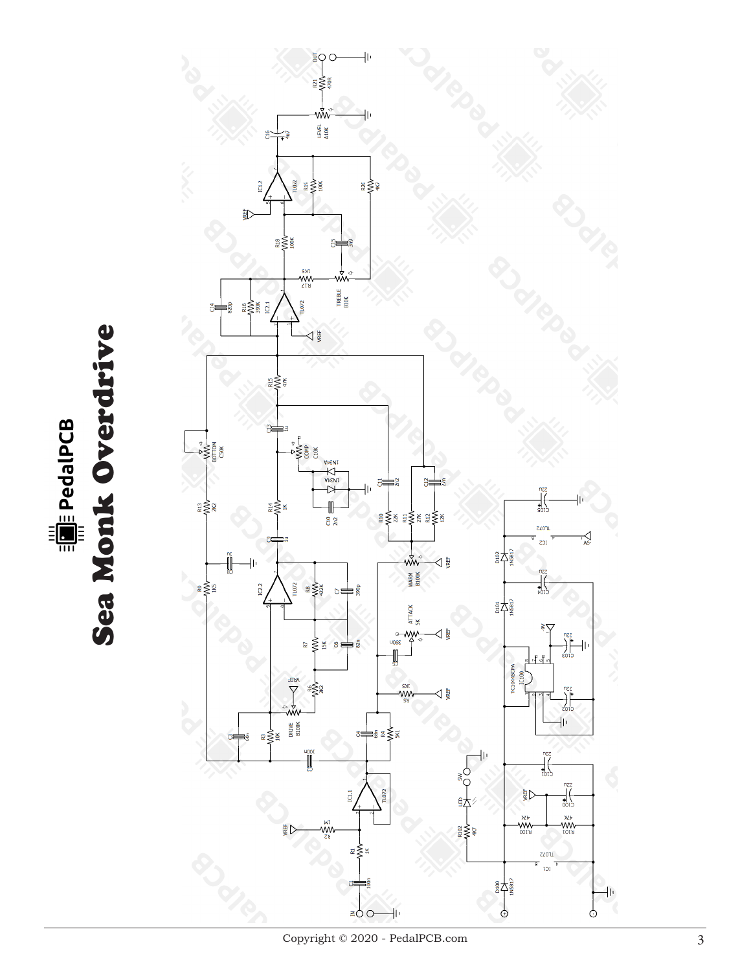Sea Monk Overdrive Sea Monk OverdriveEarlie PedalPCB

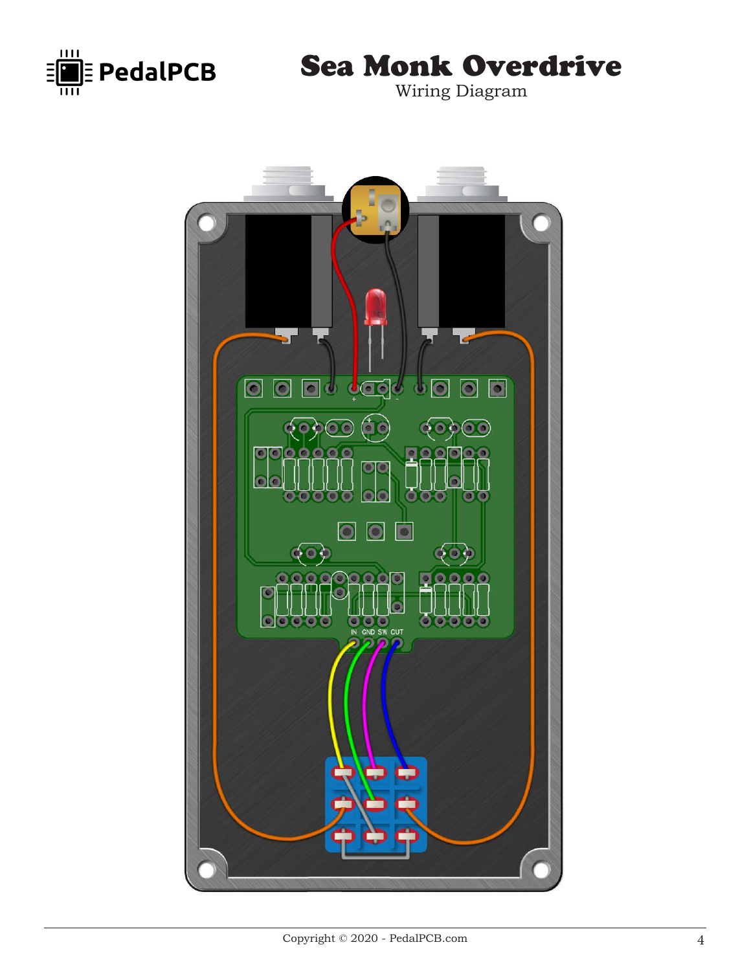

Sea Monk Overdrive

Wiring Diagram